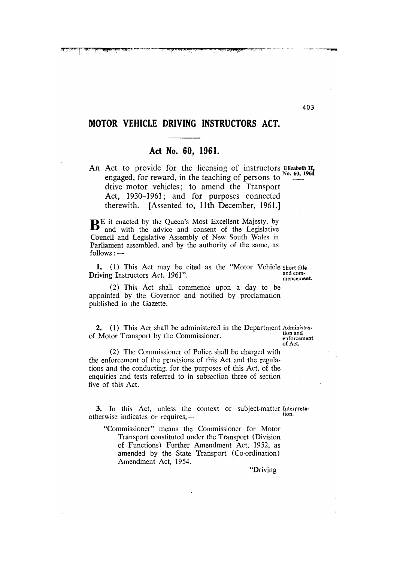# MOTOR VEHICLE DRIVING INSTRUCTORS ACT.

## Act No. 60, 1961.

An Act to provide for the licensing of instructors Elizabeth II, No. 60, 1961 engaged, for reward, in the teaching of persons to drive motor vehicles; to amend the Transport Act, 1930–1961; and for purposes connected therewith. [Assented to, 11th December, 1961.]

**BE** it enacted by the Queen's Most Excellent Majesty, by and with the advice and consent of the Legislative Council and Legislative Assembly of New South Wales in Parliament assembled, and by the authority of the same, as  $follows:$   $-$ 

1. (1) This Act may be cited as the "Motor Vehicle short title and com-Driving Instructors Act, 1961". mencement.

(2) This Act shall commence upon a day to be appointed by the Governor and notified by proclamation published in the Gazette.

2. (1) This Act shall be administered in the Department Administration and of Motor Transport by the Commissioner.

enforcement of Act.

(2) The Commissioner of Police shall be charged with the enforcement of the provisions of this Act and the regulations and the conducting, for the purposes of this Act, of the enquiries and tests referred to in subsection three of section five of this Act.

3. In this Act, unless the context or subject-matter Interpretation. otherwise indicates or requires,-

"Commissioner" means the Commissioner for Motor Transport constituted under the Transport (Division of Functions) Further Amendment Act, 1952, as amended by the State Transport (Co-ordination) Amendment Act, 1954.

"Driving"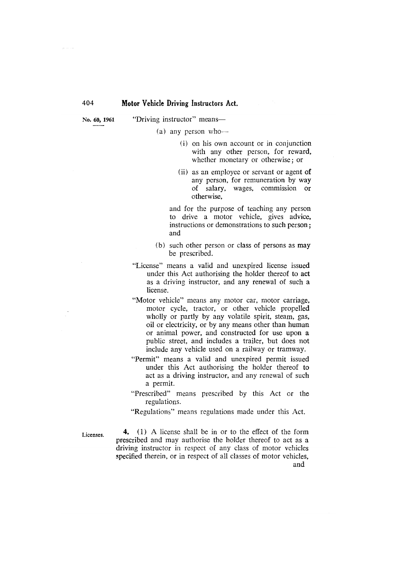No. 60, 1961

"Driving instructor" means-

(a) any person who-

- (i) on his own account or in conjunction with any other person, for reward, whether monetary or otherwise; or
- (ii) as an employee or servant or agent of any person, for remuneration by way of salary, wages, commission or otherwise.

and for the purpose of teaching any person to drive a motor vehicle, gives advice, instructions or demonstrations to such person: and

- (b) such other person or class of persons as may be prescribed.
- "License" means a valid and unexpired license issued under this Act authorising the holder thereof to act as a driving instructor, and any renewal of such a license.
- "Motor vehicle" means any motor car, motor carriage, motor cycle, tractor, or other vehicle propelled wholly or partly by any volatile spirit, steam, gas, oil or electricity, or by any means other than human or animal power, and constructed for use upon a public street, and includes a trailer, but does not include any vehicle used on a railway or tramway.
- "Permit" means a valid and unexpired permit issued under this Act authorising the holder thereof to act as a driving instructor, and any renewal of such a permit.
- "Prescribed" means prescribed by this Act or the regulations.

"Regulations" means regulations made under this Act.

Licenses.

4. (1) A license shall be in or to the effect of the form prescribed and may authorise the holder thereof to act as a driving instructor in respect of any class of motor vehicles specified therein, or in respect of all classes of motor vehicles, and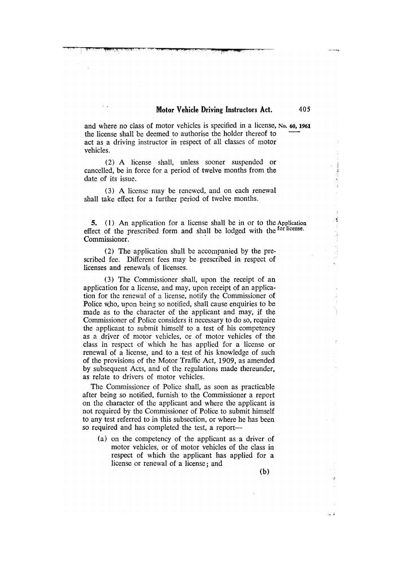405

and where no class of motor vehicles is specified in a license, No. 60, 1961 the license shall be deemed to authorise the holder thereof to act as a driving instructor in respect of all classes of motor vehicles.

(2) A license shall, unless sooner suspended or cancelled, be in force for a period of twelve months from the date of its issue.

(3) A license may be renewed, and on each renewal shall take effect for a further period of twelve months.

5. (1) An application for a license shall be in or to the Application effect of the prescribed form and shall be lodged with the <sup>for license</sup>. Commissioner.

(2) The application shall be accompanied by the prescribed fee. Different fees may be prescribed in respect of licenses and renewals of licenses.

(3) The Commissioner shall, upon the receipt of an application for a license, and may, upon receipt of an application for the renewal of a license, notify the Commissioner of Police who, upon being so notified, shall cause enquiries to be made as to the character of the applicant and may, if the Commissioner of Police considers it necessary to do so, require the applicant to submit himself to a test of his competency as a driver of motor vehicles, or of motor vehicles of the class in respect of which he has applied for a license or renewal of a license, and to a test of his knowledge of such of the provisions of the Motor Traffic Act, 1909, as amended by subsequent Acts, and of the regulations made thereunder, as relate to drivers of motor vehicles.

The Commissioner of Police shall, as soon as practicable after being so notified, furnish to the Commissioner a report on the character of the applicant and where the applicant is not required by the Commissioner of Police to submit himself to any test referred to in this subsection, or where he has been so required and has completed the test, a report-

(a) on the competency of the applicant as a driver of motor vehicles, or of motor vehicles of the class in respect of which the applicant has applied for a license or renewal of a license; and

 $(b)$ 

أستعدا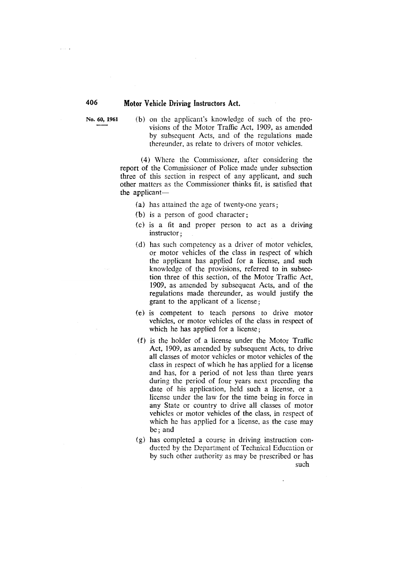No. 60, 1961

(b) on the applicant's knowledge of such of the provisions of the Motor Traffic Act, 1909, as amended by subsequent Acts, and of the regulations made thereunder, as relate to drivers of motor vehicles.

(4) Where the Commissioner, after considering the report of the Commissioner of Police made under subsection three of this section in respect of any applicant, and such other matters as the Commissioner thinks fit, is satisfied that the applicant-

- (a) has attained the age of twenty-one years;
- (b) is a person of good character;
- (c) is a fit and proper person to act as a driving instructor:
- (d) has such competency as a driver of motor vehicles, or motor vehicles of the class in respect of which the applicant has applied for a license, and such knowledge of the provisions, referred to in subsection three of this section, of the Motor Traffic Act, 1909, as amended by subsequent Acts, and of the regulations made thereunder, as would justify the grant to the applicant of a license;
- (e) is competent to teach persons to drive motor vehicles, or motor vehicles of the class in respect of which he has applied for a license;
- (f) is the holder of a license under the Motor Traffic Act, 1909, as amended by subsequent Acts, to drive all classes of motor vehicles or motor vehicles of the class in respect of which he has applied for a license and has, for a period of not less than three years during the period of four years next preceding the date of his application, held such a license, or a license under the law for the time being in force in any State or country to drive all classes of motor vehicles or motor vehicles of the class, in respect of which he has applied for a license, as the case may be; and
- (g) has completed a course in driving instruction conducted by the Department of Technical Education or by such other authority as may be prescribed or has such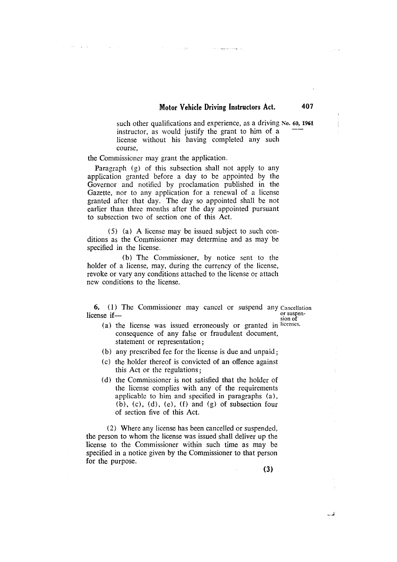407

.<br>The company company

such other qualifications and experience, as a driving No. 60, 1961 instructor, as would justify the grant to him of a license without his having completed any such course.

the Commissioner may grant the application.

Service Contract

Paragraph (g) of this subsection shall not apply to any application granted before a day to be appointed by the Governor and notified by proclamation published in the Gazette, nor to any application for a renewal of a license granted after that day. The day so appointed shall be not earlier than three months after the day appointed pursuant to subsection two of section one of this Act.

(5) (a) A license may be issued subject to such conditions as the Commissioner may determine and as may be specified in the license.

(b) The Commissioner, by notice sent to the holder of a license, may, during the currency of the license, revoke or vary any conditions attached to the license or attach new conditions to the license.

**6.** (1) The Commissioner may cancel or suspend any Cancellation or suspenlicense ifsion of

- (a) the license was issued erroneously or granted in licenses. consequence of any false or fraudulent document, statement or representation;
- (b) any prescribed fee for the license is due and unpaid;
- (c) the holder thereof is convicted of an offence against this Act or the regulations:
- (d) the Commissioner is not satisfied that the holder of the license complies with any of the requirements applicable to him and specified in paragraphs (a),  $(b)$ ,  $(c)$ ,  $(d)$ ,  $(e)$ ,  $(f)$  and  $(g)$  of subsection four of section five of this Act.

(2) Where any license has been cancelled or suspended, the person to whom the license was issued shall deliver up the license to the Commissioner within such time as may be specified in a notice given by the Commissioner to that person for the purpose.

 $(3)$ 

أسند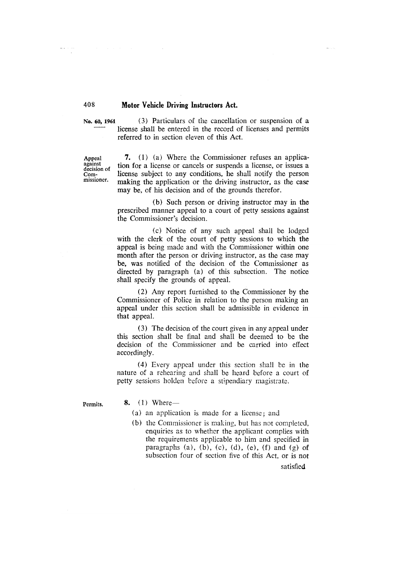No. 60, 1961

(3) Particulars of the cancellation or suspension of a license shall be entered in the record of licenses and permits referred to in section eleven of this Act.

Appeal against decision of Commissioner.

7. (1) (a) Where the Commissioner refuses an application for a license or cancels or suspends a license, or issues a license subject to any conditions, he shall notify the person making the application or the driving instructor, as the case may be, of his decision and of the grounds therefor.

(b) Such person or driving instructor may in the prescribed manner appeal to a court of petty sessions against the Commissioner's decision.

(c) Notice of any such appeal shall be lodged with the clerk of the court of petty sessions to which the appeal is being made and with the Commissioner within one month after the person or driving instructor, as the case may be, was notified of the decision of the Commissioner as directed by paragraph (a) of this subsection. The notice shall specify the grounds of appeal.

(2) Any report furnished to the Commissioner by the Commissioner of Police in relation to the person making an appeal under this section shall be admissible in evidence in that appeal.

(3) The decision of the court given in any appeal under this section shall be final and shall be deemed to be the decision of the Commissioner and be carried into effect accordingly.

(4) Every appeal under this section shall be in the nature of a rehearing and shall be heard before a court of petty sessions holden before a stipendiary magistrate.

Permits.

8.  $(1)$  Where —

- (a) an application is made for a license; and
- (b) the Commissioner is making, but has not completed, enquiries as to whether the applicant complies with the requirements applicable to him and specified in paragraphs (a), (b), (c), (d), (e), (f) and (g) of subsection four of section five of this Act, or is not satisfied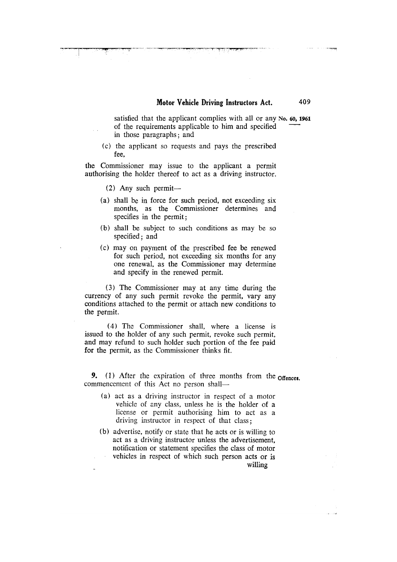satisfied that the applicant complies with all or any No. 60, 1961 of the requirements applicable to him and specified in those paragraphs; and

(c) the applicant so requests and pays the prescribed fee.

the Commissioner may issue to the applicant a permit authorising the holder thereof to act as a driving instructor.

 $(2)$  Any such permit—

- (a) shall be in force for such period, not exceeding six months, as the Commissioner determines and specifies in the permit;
- (b) shall be subject to such conditions as may be so specified; and
- (c) may on payment of the prescribed fee be renewed for such period, not exceeding six months for any one renewal, as the Commissioner may determine and specify in the renewed permit.

(3) The Commissioner may at any time during the currency of any such permit revoke the permit, vary any conditions attached to the permit or attach new conditions to the permit.

(4) The Commissioner shall, where a license is issued to the holder of any such permit, revoke such permit, and may refund to such holder such portion of the fee paid for the permit, as the Commissioner thinks fit.

9. (1) After the expiration of three months from the offences. commencement of this Act no person shall-

- (a) act as a driving instructor in respect of a motor vehicle of any class, unless he is the holder of a license or permit authorising him to act as a driving instructor in respect of that class:
- (b) advertise, notify or state that he acts or is willing to act as a driving instructor unless the advertisement. notification or statement specifies the class of motor vehicles in respect of which such person acts or is

willing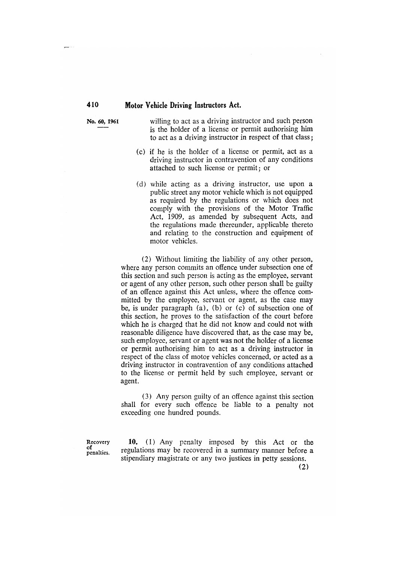No. 60, 1961

willing to act as a driving instructor and such person is the holder of a license or permit authorising him to act as a driving instructor in respect of that class;

- (c) if he is the holder of a license or permit, act as a driving instructor in contravention of any conditions attached to such license or permit; or
- (d) while acting as a driving instructor, use upon a public street any motor vehicle which is not equipped as required by the regulations or which does not comply with the provisions of the Motor Traffic Act, 1909, as amended by subsequent Acts, and the regulations made thereunder, applicable thereto and relating to the construction and equipment of motor vehicles.

(2) Without limiting the liability of any other person, where any person commits an offence under subsection one of this section and such person is acting as the employee, servant or agent of any other person, such other person shall be guilty of an offence against this Act unless, where the offence committed by the employee, servant or agent, as the case may be, is under paragraph (a), (b) or (c) of subsection one of this section, he proves to the satisfaction of the court before which he is charged that he did not know and could not with reasonable diligence have discovered that, as the case may be, such employee, servant or agent was not the holder of a license or permit authorising him to act as a driving instructor in respect of the class of motor vehicles concerned, or acted as a driving instructor in contravention of any conditions attached to the license or permit held by such employee, servant or agent.

(3) Any person guilty of an offence against this section shall for every such offence be liable to a penalty not exceeding one hundred pounds.

Recovery  $\bar{p}$  enalties.

10. (1) Any penalty imposed by this Act or the regulations may be recovered in a summary manner before a stipendiary magistrate or any two justices in petty sessions.

 $(2)$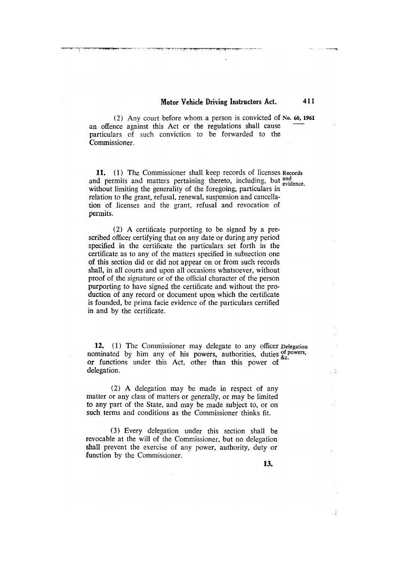411

 $\sim$ 

.<br>پي

(2) Any court before whom a person is convicted of No. 60, 1961 an offence against this Act or the regulations shall cause particulars of such conviction to be forwarded to the Commissioner.

11. (1) The Commissioner shall keep records of licenses Records and permits and matters pertaining thereto, including, but and evidence. without limiting the generality of the foregoing, particulars in relation to the grant, refusal, renewal, suspension and cancellation of licenses and the grant, refusal and revocation of permits.

(2) A certificate purporting to be signed by a prescribed officer certifying that on any date or during any period specified in the certificate the particulars set forth in the certificate as to any of the matters specified in subsection one of this section did or did not appear on or from such records shall, in all courts and upon all occasions whatsoever, without proof of the signature or of the official character of the person purporting to have signed the certificate and without the production of any record or document upon which the certificate is founded, be prima facie evidence of the particulars certified in and by the certificate.

12. (1) The Commissioner may delegate to any officer Delegation nominated by him any of his powers, authorities, duties of powers, or functions under this Act, other than this power of delegation.

(2) A delegation may be made in respect of any matter or any class of matters or generally, or may be limited to any part of the State, and may be made subject to, or on such terms and conditions as the Commissioner thinks fit.

(3) Every delegation under this section shall be revocable at the will of the Commissioner, but no delegation shall prevent the exercise of any power, authority, duty or function by the Commissioner.

13.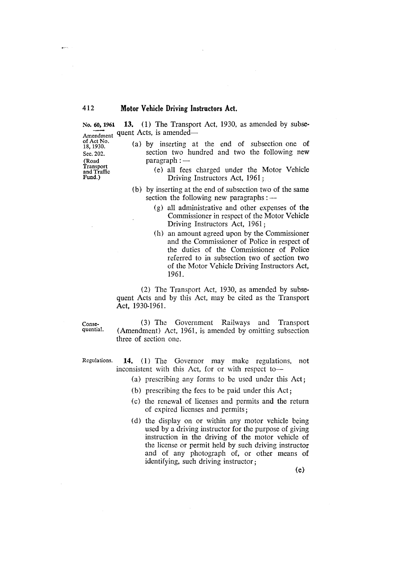13. (1) The Transport Act, 1930, as amended by subse-No. 60, 1961 Amendment quent Acts, is amended—

of Act No. 18, 1930. Sec. 202. (Road Transport and Traffic Fund.)

 $\mathbf{p}$ 

- (a) by inserting at the end of subsection one of section two hundred and two the following new  $\text{param}$ :  $-$ 
	- (e) all fees charged under the Motor Vehicle Driving Instructors Act, 1961;
- (b) by inserting at the end of subsection two of the same section the following new paragraphs: -
	- (g) all administrative and other expenses of the Commissioner in respect of the Motor Vehicle Driving Instructors Act, 1961:
	- (h) an amount agreed upon by the Commissioner and the Commissioner of Police in respect of the duties of the Commissioner of Police referred to in subsection two of section two of the Motor Vehicle Driving Instructors Act, 1961.

(2) The Transport Act, 1930, as amended by subsequent Acts and by this Act, may be cited as the Transport Act. 1930-1961.

Consequential.

(3) The Government Railways and Transport (Amendment) Act, 1961, is amended by omitting subsection three of section one.

Regulations.

- 14. (1) The Governor may make regulations, not inconsistent with this Act, for or with respect to-
	- (a) prescribing any forms to be used under this Act;
	- (b) prescribing the fees to be paid under this Act;
	- (c) the renewal of licenses and permits and the return of expired licenses and permits;
	- (d) the display on or within any motor vehicle being used by a driving instructor for the purpose of giving instruction in the driving of the motor vehicle of the license or permit held by such driving instructor and of any photograph of, or other means of identifying, such driving instructor;

 $(e)$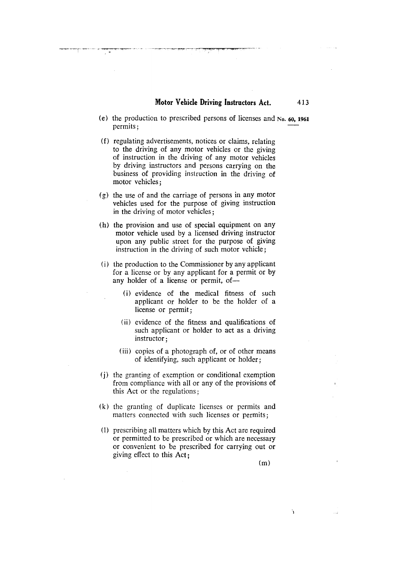413

- (e) the production to prescribed persons of licenses and No. 60, 1961 permits;
- (f) regulating advertisements, notices or claims, relating to the driving of any motor vehicles or the giving of instruction in the driving of any motor vehicles by driving instructors and persons carrying on the business of providing instruction in the driving of motor vehicles;
- $(g)$  the use of and the carriage of persons in any motor vehicles used for the purpose of giving instruction in the driving of motor vehicles;
- (h) the provision and use of special equipment on any motor vehicle used by a licensed driving instructor upon any public street for the purpose of giving instruction in the driving of such motor vehicle;
- (i) the production to the Commissioner by any applicant for a license or by any applicant for a permit or by any holder of a license or permit, of-
	- (i) evidence of the medical fitness of such applicant or holder to be the holder of a license or permit;
	- (ii) evidence of the fitness and qualifications of such applicant or holder to act as a driving instructor;
	- (iii) copies of a photograph of, or of other means of identifying, such applicant or holder;
- (i) the granting of exemption or conditional exemption from compliance with all or any of the provisions of this Act or the regulations:
- (k) the granting of duplicate licenses or permits and matters connected with such licenses or permits;
- (1) prescribing all matters which by this Act are required or permitted to be prescribed or which are necessary or convenient to be prescribed for carrying out or giving effect to this Act:

 $(m)$ 

À

 $\sim$